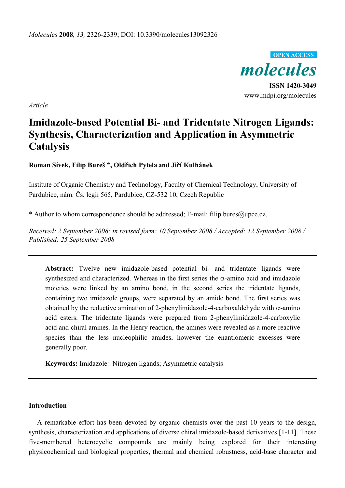

*Article* 

# **Imidazole-based Potential Bi- and Tridentate Nitrogen Ligands: Synthesis, Characterization and Application in Asymmetric Catalysis**

**Roman Sívek, Filip Bureš \*, Oldřich Pytela and Jiří Kulhánek** 

Institute of Organic Chemistry and Technology, Faculty of Chemical Technology, University of Pardubice, nám. Čs. legií 565, Pardubice, CZ-532 10, Czech Republic

\* Author to whom correspondence should be addressed; E-mail: filip.bures@upce.cz.

*Received: 2 September 2008; in revised form: 10 September 2008 / Accepted: 12 September 2008 / Published: 25 September 2008* 

**Abstract:** Twelve new imidazole-based potential bi- and tridentate ligands were synthesized and characterized. Whereas in the first series the  $\alpha$ -amino acid and imidazole moieties were linked by an amino bond, in the second series the tridentate ligands, containing two imidazole groups, were separated by an amide bond. The first series was obtained by the reductive amination of 2-phenylimidazole-4-carboxaldehyde with  $\alpha$ -amino acid esters. The tridentate ligands were prepared from 2-phenylimidazole-4-carboxylic acid and chiral amines. In the Henry reaction, the amines were revealed as a more reactive species than the less nucleophilic amides, however the enantiomeric excesses were generally poor.

**Keywords:** Imidazole; Nitrogen ligands; Asymmetric catalysis

### **Introduction**

A remarkable effort has been devoted by organic chemists over the past 10 years to the design, synthesis, characterization and applications of diverse chiral imidazole-based derivatives [1-11]. These five-membered heterocyclic compounds are mainly being explored for their interesting physicochemical and biological properties, thermal and chemical robustness, acid-base character and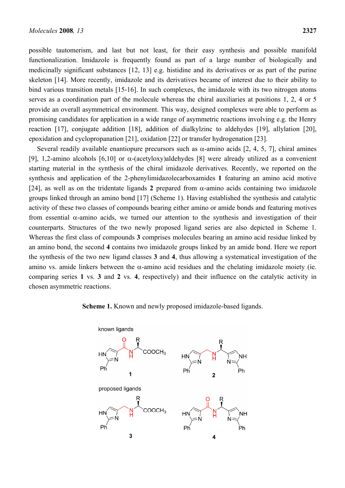possible tautomerism, and last but not least, for their easy synthesis and possible manifold functionalization. Imidazole is frequently found as part of a large number of biologically and medicinally significant substances [12, 13] e.g. histidine and its derivatives or as part of the purine skeleton [14]. More recently, imidazole and its derivatives became of interest due to their ability to bind various transition metals [15-16]. In such complexes, the imidazole with its two nitrogen atoms serves as a coordination part of the molecule whereas the chiral auxiliaries at positions 1, 2, 4 or 5 provide an overall asymmetrical environment. This way, designed complexes were able to perform as promising candidates for application in a wide range of asymmetric reactions involving e.g. the Henry reaction [17], conjugate addition [18], addition of dialkylzinc to aldehydes [19], allylation [20], epoxidation and cyclopropanation [21], oxidation [22] or transfer hydrogenation [23].

Several readily available enantiopure precursors such as  $\alpha$ -amino acids [2, 4, 5, 7], chiral amines [9], 1,2-amino alcohols [6,10] or  $\alpha$ -(acetyloxy)aldehydes [8] were already utilized as a convenient starting material in the synthesis of the chiral imidazole derivatives. Recently, we reported on the synthesis and application of the 2-phenylimidazolecarboxamides **1** featuring an amino acid motive [24], as well as on the tridentate ligands 2 prepared from  $\alpha$ -amino acids containing two imidazole groups linked through an amino bond [17] (Scheme 1). Having established the synthesis and catalytic activity of these two classes of compounds bearing either amino or amide bonds and featuring motives from essential  $\alpha$ -amino acids, we turned our attention to the synthesis and investigation of their counterparts. Structures of the two newly proposed ligand series are also depicted in Scheme 1. Whereas the first class of compounds **3** comprises molecules bearing an amino acid residue linked by an amino bond, the second **4** contains two imidazole groups linked by an amide bond. Here we report the synthesis of the two new ligand classes **3** and **4**, thus allowing a systematical investigation of the amino vs. amide linkers between the  $\alpha$ -amino acid residues and the chelating imidazole moiety (ie. comparing series **1** vs. **3** and **2** vs. **4**, respectively) and their influence on the catalytic activity in chosen asymmetric reactions.

#### **Scheme 1.** Known and newly proposed imidazole-based ligands.

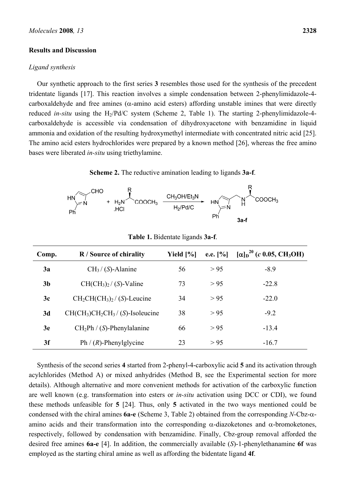#### **Results and Discussion**

#### *Ligand synthesis*

Our synthetic approach to the first series **3** resembles those used for the synthesis of the precedent tridentate ligands [17]. This reaction involves a simple condensation between 2-phenylimidazole-4 carboxaldehyde and free amines ( $\alpha$ -amino acid esters) affording unstable imines that were directly reduced *in-situ* using the H<sub>2</sub>/Pd/C system (Scheme 2, Table 1). The starting 2-phenylimidazole-4carboxaldehyde is accessible via condensation of dihydroxyacetone with benzamidine in liquid ammonia and oxidation of the resulting hydroxymethyl intermediate with concentrated nitric acid [25]. The amino acid esters hydrochlorides were prepared by a known method [26], whereas the free amino bases were liberated *in-situ* using triethylamine.

**Scheme 2.** The reductive amination leading to ligands **3a-f**.



| Comp.          | <b>R</b> / Source of chirality       | Yield $[\%]$ | e.e. $[%]$ | $[\alpha]_D^{20}$ (c 0.05, CH <sub>3</sub> OH) |
|----------------|--------------------------------------|--------------|------------|------------------------------------------------|
| 3a             | $CH3 / (S)$ -Alanine                 | 56           | > 95       | $-8.9$                                         |
| 3 <sub>b</sub> | $CH(CH3)2 / (S)$ -Valine             | 73           | > 95       | $-22.8$                                        |
| 3c             | $CH_2CH(CH_3)_2 / (S)$ -Leucine      | 34           | > 95       | $-22.0$                                        |
| 3d             | $CH(CH_3)CH_2CH_3 / (S)$ -Isoleucine | 38           | > 95       | $-9.2$                                         |
| 3e             | $CH2Ph / (S)$ -Phenylalanine         | 66           | > 95       | $-13.4$                                        |
| 3f             | Ph $/(R)$ -Phenylglycine             | 23           | > 95       | $-16.7$                                        |

**Table 1.** Bidentate ligands **3a-f**.

Synthesis of the second series **4** started from 2-phenyl-4-carboxylic acid **5** and its activation through acylchlorides (Method A) or mixed anhydrides (Method B, see the Experimental section for more details). Although alternative and more convenient methods for activation of the carboxylic function are well known (e.g. transformation into esters or *in-situ* activation using DCC or CDI), we found these methods unfeasible for **5** [24]. Thus, only **5** activated in the two ways mentioned could be condensed with the chiral amines **6a-e** (Scheme 3, Table 2) obtained from the corresponding *N*-Cbz-αamino acids and their transformation into the corresponding  $\alpha$ -diazoketones and  $\alpha$ -bromoketones, respectively, followed by condensation with benzamidine. Finally, Cbz-group removal afforded the desired free amines **6a-e** [4]. In addition, the commercially available (*S*)-1-phenylethanamine **6f** was employed as the starting chiral amine as well as affording the bidentate ligand **4f**.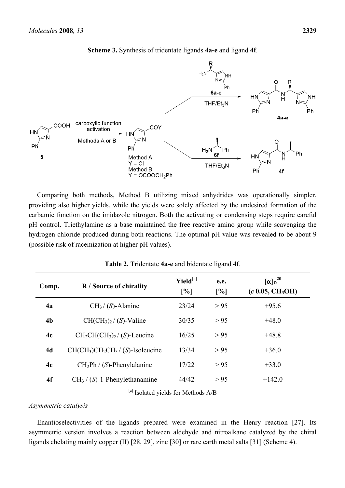

**Scheme 3.** Synthesis of tridentate ligands **4a-e** and ligand **4f**.

Comparing both methods, Method B utilizing mixed anhydrides was operationally simpler, providing also higher yields, while the yields were solely affected by the undesired formation of the carbamic function on the imidazole nitrogen. Both the activating or condensing steps require careful pH control. Triethylamine as a base maintained the free reactive amino group while scavenging the hydrogen chloride produced during both reactions. The optimal pH value was revealed to be about 9 (possible risk of racemization at higher pH values).

| Comp.          | R / Source of chirality              | $Yield^{[a]}$<br>[%] | e.e.<br>[%] | $\alpha$ <sub>b</sub> <sup>20</sup><br>(c 0.05, CH <sub>3</sub> OH) |  |  |
|----------------|--------------------------------------|----------------------|-------------|---------------------------------------------------------------------|--|--|
| 4a             | $CH3 / (S)$ -Alanine                 | 23/24                | > 95        | $+95.6$                                                             |  |  |
| 4 <sub>b</sub> | $CH(CH3)2 / (S)$ -Valine             | 30/35                | > 95        | $+48.0$                                                             |  |  |
| 4c             | $CH2CH(CH3)2 / (S)$ -Leucine         | 16/25                | > 95        | $+48.8$                                                             |  |  |
| 4d             | $CH(CH_3)CH_2CH_3 / (S)$ -Isoleucine | 13/34                | > 95        | $+36.0$                                                             |  |  |
| 4e             | $CH2Ph / (S)$ -Phenylalanine         | 17/22                | > 95        | $+33.0$                                                             |  |  |
| 4f             | $CH3 / (S)$ -1-Phenylethanamine      | 44/42                | > 95        | $+142.0$                                                            |  |  |

**Table 2.** Tridentate **4a-e** and bidentate ligand **4f**.

[a] Isolated yields for Methods A/B

*Asymmetric catalysis* 

Enantioselectivities of the ligands prepared were examined in the Henry reaction [27]. Its asymmetric version involves a reaction between aldehyde and nitroalkane catalyzed by the chiral ligands chelating mainly copper (II) [28, 29], zinc [30] or rare earth metal salts [31] (Scheme 4).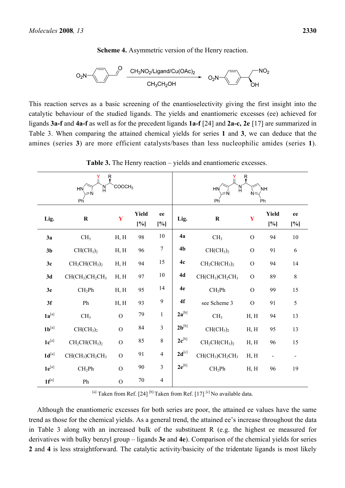**Scheme 4.** Asymmetric version of the Henry reaction.



This reaction serves as a basic screening of the enantioselectivity giving the first insight into the catalytic behaviour of the studied ligands. The yields and enantiomeric excesses (ee) achieved for ligands **3a-f** and **4a-f** as well as for the precedent ligands **1a-f** [24] and **2a-c, 2e** [17] are summarized in Table 3. When comparing the attained chemical yields for series **1** and **3**, we can deduce that the amines (series **3**) are more efficient catalysts/bases than less nucleophilic amides (series **1**).

| Ŗ<br>COOCH <sub>3</sub><br>'n<br>HN<br>Ph |                                   |                |              |                         | Ŗ<br>'N<br>H<br>HN<br>`NΗ<br>N=<br>Ph<br>Ph |                                   |                |              |            |
|-------------------------------------------|-----------------------------------|----------------|--------------|-------------------------|---------------------------------------------|-----------------------------------|----------------|--------------|------------|
| Lig.                                      | $\mathbf R$                       | Y              | Yield<br>[%] | ee<br>[%]               | Lig.                                        | $\mathbf R$                       | Y              | Yield<br>[%] | ee<br>[%]  |
| 3a                                        | CH <sub>3</sub>                   | H, H           | 98           | 10                      | 4a                                          | CH <sub>3</sub>                   | $\overline{O}$ | 94           | $10\,$     |
| 3 <sub>b</sub>                            | CH(CH <sub>3</sub> ) <sub>2</sub> | H, H           | 96           | $\boldsymbol{7}$        | 4 <sub>b</sub>                              | CH(CH <sub>3</sub> ) <sub>2</sub> | $\mathbf{O}$   | 91           | $\sqrt{6}$ |
| 3c                                        | $CH2CH(CH3)2$                     | H, H           | 94           | 15                      | 4c                                          | $CH2CH(CH3)2$                     | $\mathcal{O}$  | 94           | 14         |
| 3d                                        | $CH(CH3)CH2CH3$                   | H, H           | 97           | $10\,$                  | 4d                                          | $CH(CH3)CH2CH3$                   | $\mathbf{O}$   | 89           | 8          |
| 3e                                        | CH <sub>2</sub> Ph                | H, H           | 95           | 14                      | 4e                                          | CH <sub>2</sub> Ph                | $\Omega$       | 99           | 15         |
| 3f                                        | ${\rm Ph}$                        | H, H           | 93           | $\mathbf{9}$            | 4f                                          | see Scheme 3                      | $\mathcal{O}$  | 91           | 5          |
| $1a^{[a]}$                                | CH <sub>3</sub>                   | $\overline{O}$ | 79           | $\,1\,$                 | $2a^{[b]}$                                  | CH <sub>3</sub>                   | H, H           | 94           | 13         |
| $1b^{[a]}$                                | CH(CH <sub>3</sub> ) <sub>2</sub> | $\overline{O}$ | 84           | $\overline{\mathbf{3}}$ | $2b^{[b]}$                                  | CH(CH <sub>3</sub> ) <sub>2</sub> | H, H           | 95           | 13         |
| $1e^{[a]}$                                | $CH2CH(CH3)2$                     | $\mathcal{O}$  | 85           | $8\,$                   | $2c^{[b]}$                                  | $CH2CH(CH3)2$                     | H, H           | 96           | 15         |
| $1d^{[a]}$                                | $CH(CH3)CH2CH3$                   | $\mathcal{O}$  | 91           | $\overline{4}$          | $2d^{[c]}$                                  | $CH(CH3)CH2CH3$                   | H, H           |              |            |
| $1e^{[a]}$                                | CH <sub>2</sub> Ph                | $\overline{O}$ | 90           | $\mathfrak{Z}$          | $2e^{[b]}$                                  | CH <sub>2</sub> Ph                | H, H           | 96           | 19         |
| $1f^{[a]}$                                | ${\rm Ph}$                        | $\mathcal{O}$  | $70\,$       | $\overline{4}$          |                                             |                                   |                |              |            |

**Table 3.** The Henry reaction – yields and enantiomeric excesses.

<sup>[a]</sup> Taken from Ref. [24]<sup>[b]</sup> Taken from Ref. [17]<sup>[c]</sup> No available data.

Although the enantiomeric excesses for both series are poor, the attained ee values have the same trend as those for the chemical yields. As a general trend, the attained ee's increase throughout the data in Table 3 along with an increased bulk of the substituent R (e.g. the highest ee measured for derivatives with bulky benzyl group – ligands **3e** and **4e**). Comparison of the chemical yields for series **2** and **4** is less straightforward. The catalytic activity/basicity of the tridentate ligands is most likely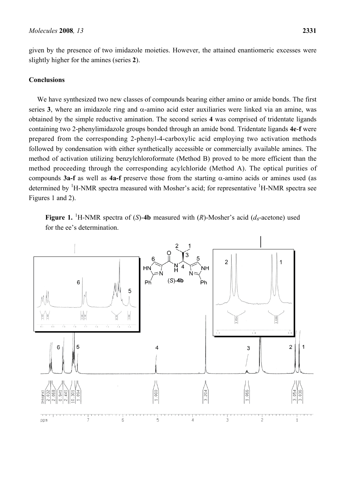given by the presence of two imidazole moieties. However, the attained enantiomeric excesses were slightly higher for the amines (series **2**).

## **Conclusions**

We have synthesized two new classes of compounds bearing either amino or amide bonds. The first series 3, where an imidazole ring and  $\alpha$ -amino acid ester auxiliaries were linked via an amine, was obtained by the simple reductive amination. The second series **4** was comprised of tridentate ligands containing two 2-phenylimidazole groups bonded through an amide bond. Tridentate ligands **4e**-**f** were prepared from the corresponding 2-phenyl-4-carboxylic acid employing two activation methods followed by condensation with either synthetically accessible or commercially available amines. The method of activation utilizing benzylchloroformate (Method B) proved to be more efficient than the method proceeding through the corresponding acylchloride (Method A). The optical purities of compounds **3a-f** as well as **4a-f** preserve those from the starting α-amino acids or amines used (as determined by <sup>1</sup>H-NMR spectra measured with Mosher's acid; for representative <sup>1</sup>H-NMR spectra see Figures 1 and 2).

**Figure 1.** <sup>1</sup>H-NMR spectra of (*S*)-4b measured with (*R*)-Mosher's acid ( $d_6$ -acetone) used for the ee's determination.

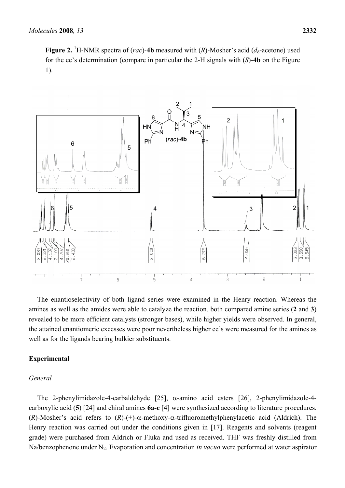**Figure 2.** <sup>1</sup>H-NMR spectra of (*rac*)-4b measured with (*R*)-Mosher's acid ( $d_6$ -acetone) used for the ee's determination (compare in particular the 2-H signals with (*S*)-**4b** on the Figure 1).



The enantioselectivity of both ligand series were examined in the Henry reaction. Whereas the amines as well as the amides were able to catalyze the reaction, both compared amine series (**2** and **3**) revealed to be more efficient catalysts (stronger bases), while higher yields were observed. In general, the attained enantiomeric excesses were poor nevertheless higher ee's were measured for the amines as well as for the ligands bearing bulkier substituents.

### **Experimental**

#### *General*

The 2-phenylimidazole-4-carbaldehyde [25], α-amino acid esters [26], 2-phenylimidazole-4 carboxylic acid (**5**) [24] and chiral amines **6a-e** [4] were synthesized according to literature procedures. (*R*)-Mosher's acid refers to (*R*)-(+)-α-methoxy-α-trifluoromethylphenylacetic acid (Aldrich). The Henry reaction was carried out under the conditions given in [17]. Reagents and solvents (reagent grade) were purchased from Aldrich or Fluka and used as received. THF was freshly distilled from Na/benzophenone under N<sub>2</sub>. Evaporation and concentration *in vacuo* were performed at water aspirator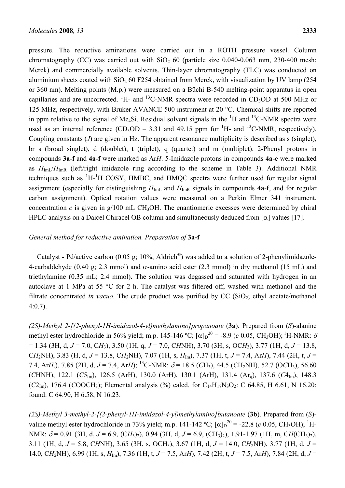pressure. The reductive aminations were carried out in a ROTH pressure vessel. Column chromatography (CC) was carried out with  $SiO<sub>2</sub> 60$  (particle size 0.040-0.063 mm, 230-400 mesh; Merck) and commercially available solvents. Thin-layer chromatography (TLC) was conducted on aluminium sheets coated with  $SiO<sub>2</sub>$  60 F254 obtained from Merck, with visualization by UV lamp (254) or 360 nm). Melting points (M.p.) were measured on a Büchi B-540 melting-point apparatus in open capillaries and are uncorrected. <sup>1</sup>H- and <sup>13</sup>C-NMR spectra were recorded in CD<sub>3</sub>OD at 500 MHz or 125 MHz, respectively, with Bruker AVANCE 500 instrument at 20 °C. Chemical shifts are reported in ppm relative to the signal of Me<sub>4</sub>Si. Residual solvent signals in the  ${}^{1}H$  and  ${}^{13}C$ -NMR spectra were used as an internal reference  $(CD_3OD - 3.31$  and 49.15 ppm for <sup>1</sup>H- and <sup>13</sup>C-NMR, respectively). Coupling constants (*J*) are given in Hz. The apparent resonance multiplicity is described as s (singlet), br s (broad singlet), d (doublet), t (triplet), q (quartet) and m (multiplet). 2-Phenyl protons in compounds **3a-f** and **4a-f** were marked as Ar*H*. 5-Imidazole protons in compounds **4a-e** were marked as  $H_{\text{Im}}/H_{\text{Im}}$  (left/right imidazole ring according to the scheme in Table 3). Additional NMR techniques such as  ${}^{1}H$ - ${}^{1}H$  COSY, HMBC, and HMQC spectra were further used for regular signal assignment (especially for distinguishing  $H_{\text{ImL}}$  and  $H_{\text{ImR}}$  signals in compounds **4a-f**, and for regular carbon assignment). Optical rotation values were measured on a Perkin Elmer 341 instrument, concentration  $c$  is given in g/100 mL CH<sub>3</sub>OH. The enantiomeric excesses were determined by chiral HPLC analysis on a Daicel Chiracel OB column and simultaneously deduced from  $\lceil \alpha \rceil$  values [17].

### *General method for reductive amination. Preparation of* **3a-f**

Catalyst - Pd/active carbon (0.05 g; 10%, Aldrich<sup>®</sup>) was added to a solution of 2-phenylimidazole-4-carbaldehyde (0.40 g; 2.3 mmol) and  $\alpha$ -amino acid ester (2.3 mmol) in dry methanol (15 mL) and triethylamine (0.35 mL; 2.4 mmol). The solution was degassed and saturated with hydrogen in an autoclave at 1 MPa at 55 °C for 2 h. The catalyst was filtered off, washed with methanol and the filtrate concentrated *in vacuo*. The crude product was purified by  $CC$  ( $SiO<sub>2</sub>$ ; ethyl acetate/methanol 4:0.7).

*(2S)-Methyl 2-[(2-phenyl-1H-imidazol-4-yl)methylamino]propanoate* (**3a**). Prepared from (*S*)-alanine methyl ester hydrochloride in 56% yield; m.p. 145-146 °C;  $[\alpha]_D^{20} = -8.9$  (*c* 0.05, CH<sub>3</sub>OH); <sup>1</sup>H-NMR:  $\delta$ = 1.34 (3H, d, *J* = 7.0, C*H*3), 3.50 (1H, q, *J* = 7.0, C*H*NH), 3.70 (3H, s, OC*H*3), 3.77 (1H, d, *J* = 13.8, C*H*<sub>2</sub>NH), 3.83 (H, d, *J* = 13.8, C*H*<sub>2</sub>NH), 7.07 (1H, s, *H*<sub>Im</sub>), 7.37 (1H, t, *J* = 7.4, Ar*H*), 7.44 (2H, t, *J* = 7.4, Ar*H*,), 7.85 (2H, d,  $J = 7.4$ , Ar*H*); <sup>13</sup>C-NMR:  $\delta = 18.5$  (*CH*<sub>3</sub>), 44.5 (*CH*<sub>2</sub>NH), 52.7 (O*CH*<sub>3</sub>), 56.60  $(CHNH)$ , 122.1  $(C5<sub>Im</sub>)$ , 126.5  $(ArH)$ , 130.0  $(ArH)$ , 130.1  $(ArH)$ , 131.4  $(Ar<sub>g</sub>)$ , 137.6  $(C4<sub>Im</sub>)$ , 148.3  $(C_{2m})$ , 176.4  $(COOCH_3)$ ; Elemental analysis (%) calcd. for C<sub>14</sub>H<sub>17</sub>N<sub>3</sub>O<sub>2</sub>: C 64.85, H 6.61, N 16.20; found: C 64.90, H 6.58, N 16.23.

*(2S)-Methyl 3-methyl-2-[(2-phenyl-1H-imidazol-4-yl)methylamino]butanoate* (**3b**). Prepared from (*S*) valine methyl ester hydrochloride in 73% yield; m.p. 141-142 °C;  $[\alpha]_D^{20} = -22.8$  (*c* 0.05, CH<sub>3</sub>OH); <sup>1</sup>H-NMR:  $\delta$  = 0.91 (3H, d, *J* = 6.9, (CH<sub>3</sub>)<sub>2</sub>), 0.94 (3H, d, *J* = 6.9, (CH<sub>3</sub>)<sub>2</sub>), 1.91-1.97 (1H, m, CH(CH<sub>3</sub>)<sub>2</sub>), 3.11 (1H, d, *J* = 5.8, C*H*NH), 3.65 (3H, s, OCH3), 3.67 (1H, d, *J* = 14.0, C*H*2NH), 3.77 (1H, d, *J* = 14.0, C*H*2NH), 6.99 (1H, s, *H*Im), 7.36 (1H, t, *J* = 7.5, Ar*H*), 7.42 (2H, t, *J* = 7.5, Ar*H*), 7.84 (2H, d, *J* =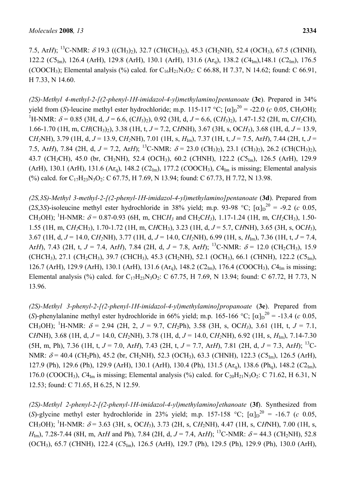7.5, Ar*H*); 13C-NMR: δ 19.3 ((*C*H3)2), 32.7 (*C*H(CH3)2), 45.3 (*C*H2NH), 52.4 (O*C*H3), 67.5 (*C*HNH), 122.2 (*C*5Im), 126.4 (ArH), 129.8 (ArH), 130.1 (ArH), 131.6 (Arq), 138.2 (*C*4Im),148.1 (*C*2Im), 176.5 (*COOCH*<sub>3</sub>); Elemental analysis (%) calcd. for  $C_{16}H_{21}N_3O_2$ : C 66.88, H 7.37, N 14.62; found: C 66.91, H 7.33, N 14.60.

*(2S)-Methyl 4-methyl-2-[(2-phenyl-1H-imidazol-4-yl)methylamino]pentanoate* (**3c**). Prepared in 34% yield from (*S*)-leucine methyl ester hydrochloride; m.p. 115-117 °C;  $[\alpha]_D^{20} = -22.0$  (*c* 0.05, CH<sub>3</sub>OH); <sup>1</sup>H-NMR:  $\delta$  = 0.85 (3H, d, *J* = 6.6, (CH<sub>3</sub>)<sub>2</sub>), 0.92 (3H, d, *J* = 6.6, (CH<sub>3</sub>)<sub>2</sub>), 1.47-1.52 (2H, m, CH<sub>2</sub>CH), 1.66-1.70 (1H, m, C*H*(CH3)2), 3.38 (1H, t, *J* = 7.2, C*H*NH), 3.67 (3H, s, OC*H*3), 3.68 (1H, d, *J* = 13.9, C*H*<sub>2</sub>NH), 3.79 (1H, d, *J* = 13.9, C*H*<sub>2</sub>NH), 7.01 (1H, s, *H*<sub>Im</sub>), 7.37 (1H, t, *J* = 7.5, Ar*H*), 7.44 (2H, t, *J* = 7.5, Ar*H*), 7.84 (2H, d,  $J = 7.2$ , Ar*H*); <sup>13</sup>C-NMR:  $\delta = 23.0$  (*CH*<sub>3</sub>)<sub>2</sub>), 23.1 (*CH*<sub>3</sub>)<sub>2</sub>), 26.2 (*CH*(*CH*<sub>3</sub>)<sub>2</sub>), 43.7 (*C*H*2*CH), 45.0 (br, *C*H2NH), 52.4 (O*C*H3), 60.2 (*C*HNH), 122.2 (*C*5Im), 126.5 (ArH), 129.9 (ArH), 130.1 (ArH), 131.6 (Arq), 148.2 (*C*2Im), 177.2 (*C*OOCH3), *C*4Im is missing; Elemental analysis (%) calcd. for C<sub>17</sub>H<sub>23</sub>N<sub>3</sub>O<sub>2</sub>: C 67.75, H 7.69, N 13.94; found: C 67.73, H 7.72, N 13.98.

*(2S,3S)-Methyl 3-methyl-2-[(2-phenyl-1H-imidazol-4-yl)methylamino]pentanoate* (**3d**). Prepared from (2*S*,3*S*)-isoleucine methyl ester hydrochloride in 38% yield; m.p. 93-98 °C;  $[\alpha]_D^{20} = -9.2$  (*c* 0.05, CH<sub>3</sub>OH); <sup>1</sup>H-NMR:  $\delta$  = 0.87-0.93 (6H, m, CHC*H<sub>3</sub>* and CH<sub>2</sub>C*H<sub>3</sub>*), 1.17-1.24 (1H, m, C*H<sub>2</sub>CH<sub>3</sub>)*, 1.50-1.55 (1H, m, C*H2*CH3), 1.70-1.72 (1H, m, C*H*CH3), 3.23 (1H, d, *J* = 5.7, C*H*NH), 3.65 (3H, s, OC*H*3), 3.67 (1H, d, *J* = 14.0, C*H2*NH), 3.77 (1H, d, *J* = 14.0, C*H2*NH), 6.99 (1H, s, *H*Im), 7.36 (1H, t, *J* = 7.4, Ar*H*), 7.43 (2H, t,  $J = 7.4$ , Ar*H*), 7.84 (2H, d,  $J = 7.8$ , Ar*H*); <sup>13</sup>C-NMR:  $\delta = 12.0$  (CH<sub>2</sub>CH<sub>3</sub>), 15.9 (CH*C*H3), 27.1 (*C*H2CH3), 39.7 (*C*HCH3), 45.3 (*C*H2NH), 52.1 (O*C*H3), 66.1 (*C*HNH), 122.2 (*C*5Im), 126.7 (ArH), 129.9 (ArH), 130.1 (ArH), 131.6 (Arq), 148.2 (*C*2Im), 176.4 (*C*OOCH3), *C*4Im is missing; Elemental analysis (%) calcd. for C<sub>17</sub>H<sub>23</sub>N<sub>3</sub>O<sub>2</sub>: C 67.75, H 7.69, N 13.94; found: C 67.72, H 7.73, N 13.96.

*(2S)-Methyl 3-phenyl-2-[(2-phenyl-1H-imidazol-4-yl)methylamino]propanoate* (**3e**). Prepared from (*S*)-phenylalanine methyl ester hydrochloride in 66% yield; m.p. 165-166 °C;  $[\alpha]_D^{20} = -13.4$  (*c* 0.05, CH<sub>3</sub>OH); <sup>1</sup>H-NMR:  $\delta$  = 2.94 (2H, 2, *J* = 9.7, CH<sub>2</sub>Ph), 3.58 (3H, s, OCH<sub>3</sub>), 3.61 (1H, t, *J* = 7.1, C*H*NH), 3.68 (1H, d, *J* = 14.0, C*H*2NH), 3.78 (1H, d, *J* = 14.0, C*H2*NH), 6.92 (1H, s, *H*Im), 7.14-7.30 (5H, m, Ph), 7.36 (1H, t,  $J = 7.0$ , Ar*H*), 7.43 (2H, t,  $J = 7.7$ , Ar*H*), 7.81 (2H, d,  $J = 7.3$ , Ar*H*); <sup>13</sup>C-NMR:  $\delta$  = 40.4 (*C*H<sub>2</sub>Ph), 45.2 (br, *CH*<sub>2</sub>NH), 52.3 (O*CH*<sub>3</sub>), 63.3 (*CHNH*), 122.3 (*C*5<sub>Im</sub>), 126.5 (ArH), 127.9 (Ph), 129.6 (Ph), 129.9 (ArH), 130.1 (ArH), 130.4 (Ph), 131.5 (Arq), 138.6 (Phq), 148.2 (*C*2Im), 176.0 (*COOCH<sub>3</sub>*), *CA*<sub>Im</sub> is missing; Elemental analysis  $\frac{6}{9}$  calcd. for C<sub>20</sub>H<sub>21</sub>N<sub>3</sub>O<sub>2</sub>: C 71.62, H 6.31, N 12.53; found: C 71.65, H 6.25, N 12.59.

*(2S)-Methyl 2-phenyl-2-[(2-phenyl-1H-imidazol-4-yl)methylamino]ethanoate* (**3f**). Synthesized from (S)-glycine methyl ester hydrochloride in 23% yield; m.p. 157-158 °C;  $[\alpha]_D^{20} = -16.7$  (*c* 0.05, CH<sub>3</sub>OH); <sup>1</sup>H-NMR:  $\delta$  = 3.63 (3H, s, OCH<sub>3</sub>), 3.73 (2H, s, CH<sub>2</sub>NH), 4.47 (1H, s, CHNH), 7.00 (1H, s, *H*<sub>Im</sub>), 7.28-7.44 (8H, m, Ar*H* and Ph), 7.84 (2H, d,  $J = 7.4$ , Ar*H*); <sup>13</sup>C-NMR:  $\delta = 44.3$  (*CH*<sub>2</sub>NH), 52.8 (O*C*H3), 65.7 (*C*HNH), 122.4 (*C*5Im), 126.5 (ArH), 129.7 (Ph), 129.5 (Ph), 129.9 (Ph), 130.0 (ArH),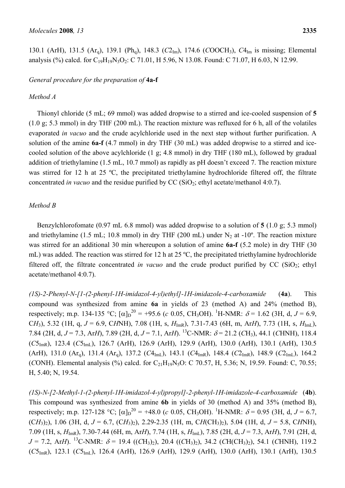130.1 (ArH), 131.5 (Ar<sub>a</sub>), 139.1 (Ph<sub>a</sub>), 148.3 (*C*2<sub>Im</sub>), 174.6 (*COOCH*<sub>3</sub>), *C*4<sub>Im</sub> is missing; Elemental analysis (%) calcd. for  $C_{19}H_{19}N_3O_2$ : C 71.01, H 5.96, N 13.08. Found: C 71.07, H 6.03, N 12.99.

# *General procedure for the preparation of* **4a-f**

## *Method A*

Thionyl chloride (5 mL; 69 mmol) was added dropwise to a stirred and ice-cooled suspension of **5**  (1.0 g; 5.3 mmol) in dry THF (200 mL). The reaction mixture was refluxed for 6 h, all of the volatiles evaporated *in vacuo* and the crude acylchloride used in the next step without further purification. A solution of the amine **6a-f** (4.7 mmol) in dry THF (30 mL) was added dropwise to a stirred and icecooled solution of the above acylchloride (1 g; 4.8 mmol) in dry THF (180 mL), followed by gradual addition of triethylamine (1.5 mL, 10.7 mmol) as rapidly as pH doesn't exceed 7. The reaction mixture was stirred for 12 h at 25 °C, the precipitated triethylamine hydrochloride filtered off, the filtrate concentrated *in vacuo* and the residue purified by CC (SiO<sub>2</sub>; ethyl acetate/methanol 4:0.7).

## *Method B*

Benzylchlorofomate (0.97 mL 6.8 mmol) was added dropwise to a solution of **5** (1.0 g; 5.3 mmol) and triethylamine (1.5 mL; 10.8 mmol) in dry THF (200 mL) under  $N_2$  at -10<sup>o</sup>. The reaction mixture was stirred for an additional 30 min whereupon a solution of amine **6a-f** (5.2 mole) in dry THF (30 mL) was added. The reaction was stirred for 12 h at 25 ºC, the precipitated triethylamine hydrochloride filtered off, the filtrate concentrated *in vacuo* and the crude product purified by  $CC$  ( $SiO<sub>2</sub>$ ; ethyl acetate/methanol 4:0.7).

*(1S)-2-Phenyl-N-[1-(2-phenyl-1H-imidazol-4-yl)ethyl]-1H-imidazole-4-carboxamide* (**4a**). This compound was synthesized from amine **6a** in yields of 23 (method A) and 24% (method B), respectively; m.p. 134-135 °C;  $[\alpha]_D^{20} = +95.6$  (*c* 0.05, CH<sub>3</sub>OH). <sup>1</sup>H-NMR:  $\delta = 1.62$  (3H, d, *J* = 6.9, C*H*<sub>3</sub>), 5.32 (1H, q, *J* = 6.9, C*H*NH), 7.08 (1H, s,  $H_{ImR}$ ), 7.31-7.43 (6H, m, Ar*H*), 7.73 (1H, s,  $H_{ImL}$ ), 7.84 (2H, d,  $J = 7.3$ , Ar*H*), 7.89 (2H, d,  $J = 7.1$ , Ar*H*). <sup>13</sup>C-NMR:  $\delta = 21.2$  (CH<sub>3</sub>), 44.1 (CHNH), 118.4 ( $C5<sub>ImR</sub>$ ), 123.4 ( $C5<sub>ImL</sub>$ ), 126.7 (ArH), 126.9 (ArH), 129.9 (ArH), 130.0 (ArH), 130.1 (ArH), 130.5 (ArH), 131.0 (Ar<sub>a</sub>), 131.4 (Ar<sub>a</sub>), 137.2 ( $C4_{\text{Im}L}$ ), 143.1 ( $C4_{\text{Im}R}$ ), 148.4 ( $C2_{\text{Im}R}$ ), 148.9 ( $C2_{\text{Im}L}$ ), 164.2 (*CONH*). Elemental analysis (%) calcd. for  $C_{21}H_{19}N_5O$ : C 70.57, H, 5.36; N, 19.59. Found: C, 70.55; H, 5.40; N, 19.54.

*(1S)-N-[2-Methyl-1-(2-phenyl-1H-imidazol-4-yl)propyl]-2-phenyl-1H-imidazole-4-carboxamide* (**4b**). This compound was synthesized from amine **6b** in yields of 30 (method A) and 35% (method B), respectively; m.p. 127-128 °C;  $[\alpha]_D^{20} = +48.0$  (*c* 0.05, CH<sub>3</sub>OH). <sup>1</sup>H-NMR:  $\delta = 0.95$  (3H, d, *J* = 6.7,  $(CH_3)_{2}$ , 1.06 (3H, d, *J* = 6.7, (CH<sub>3</sub>)<sub>2</sub>), 2.29-2.35 (1H, m, CH(CH<sub>3</sub>)<sub>2</sub>), 5.04 (1H, d, *J* = 5.8, CHNH), 7.09 (1H, s, *H*ImR), 7.30-7.44 (6H, m, Ar*H*), 7.74 (1H, s, *H*ImL), 7.85 (2H, d, *J* = 7.3, Ar*H*), 7.91 (2H, d,  $J = 7.2$ , Ar*H*). <sup>13</sup>C-NMR:  $\delta = 19.4$  ((*C*H<sub>3</sub>)<sub>2</sub>), 20.4 ((*C*H<sub>3</sub>)<sub>2</sub>), 34.2 (*C*H(*CH*<sub>3</sub>)<sub>2</sub>), 54.1 (*CHNH*), 119.2 (*C*5ImR), 123.1 (*C*5ImL), 126.4 (ArH), 126.9 (ArH), 129.9 (ArH), 130.0 (ArH), 130.1 (ArH), 130.5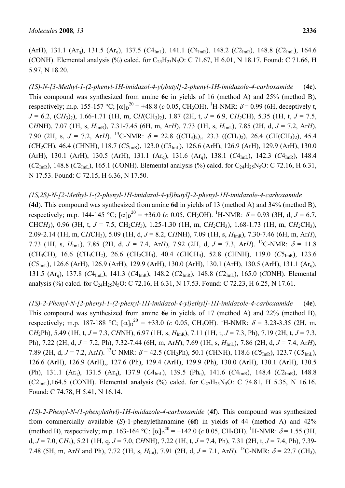(ArH), 131.1 (Arq), 131.5 (Arq), 137.5 (*C*4ImL), 141.1 (*C*4ImR), 148.2 (*C*2ImR), 148.8 (*C*2ImL), 164.6 (*CONH*). Elemental analysis (%) calcd. for  $C_{23}H_{23}N_5O$ : C 71.67, H 6.01, N 18.17. Found: C 71.66, H 5.97, N 18.20.

*(1S)-N-[3-Methyl-1-(2-phenyl-1H-imidazol-4-yl)butyl]-2-phenyl-1H-imidazole-4-carboxamide* (**4c**). This compound was synthesized from amine **6c** in yields of 16 (method A) and 25% (method B), respectively; m.p. 155-157 °C;  $[\alpha]_D^{20} = +48.8$  (*c* 0.05, CH<sub>3</sub>OH). <sup>1</sup>H-NMR:  $\delta$  = 0.99 (6H, deceptively t, *J* = 6.2, (C*H*3)2), 1.66-1.71 (1H, m, C*H*(CH3)2), 1.87 (2H, t, *J* = 6.9, C*H2*CH), 5.35 (1H, t, *J* = 7.5, C*H*NH), 7.07 (1H, s, *H*ImR), 7.31-7.45 (6H, m, Ar*H*), 7.73 (1H, s, *H*ImL), 7.85 (2H, d, *J* = 7.2, Ar*H*), 7.90 (2H, s,  $J = 7.2$ , Ar*H*). <sup>13</sup>C-NMR:  $\delta = 22.8$  ((*CH3*)<sub>2</sub>),, 23.3 ((*CH3*)<sub>2</sub>), 26.4 (*CH*(*CH3*)<sub>2</sub>), 45.4 (*C*H2CH), 46.4 (*C*HNH), 118.7 (*C*5ImR), 123.0 (*C*5ImL), 126.6 (ArH), 126.9 (ArH), 129.9 (ArH), 130.0 (ArH), 130.1 (ArH), 130.5 (ArH), 131.1 (Arq), 131.6 (Arq), 138.1 (*C*4ImL), 142.3 (*C*4ImR), 148.4  $(C_{2ImR})$ , 148.8  $(C_{2ImL})$ , 165.1 (*CONH*). Elemental analysis (%) calcd. for  $C_{24}H_{25}N_5O$ : C 72.16, H 6.31, N 17.53. Found: C 72.15, H 6.36, N 17.50.

# *(1S,2S)-N-[2-Methyl-1-(2-phenyl-1H-imidazol-4-yl)butyl]-2-phenyl-1H-imidazole-4-carboxamide*

(**4d**). This compound was synthesized from amine **6d** in yields of 13 (method A) and 34% (method B), respectively; m.p. 144-145 °C;  $[\alpha]_D^{20} = +36.0$  (*c* 0.05, CH<sub>3</sub>OH). <sup>1</sup>H-NMR:  $\delta = 0.93$  (3H, d, *J* = 6.7, CHCH<sub>3</sub>), 0.96 (3H, t,  $J = 7.5$ , CH<sub>2</sub>CH<sub>3</sub>), 1.25-1.30 (1H, m, CH<sub>2</sub>CH<sub>3</sub>), 1.68-1.73 (1H, m, CH<sub>2</sub>CH<sub>3</sub>), 2.09-2.14 (1H, m, C*H*CH3), 5.09 (1H, d, *J* = 8.2, C*H*NH), 7.09 (1H, s, *H*ImR), 7.30-7.46 (6H, m, Ar*H*), 7.73 (1H, s,  $H_{\text{Im}1}$ ), 7.85 (2H, d,  $J = 7.4$ , Ar*H*), 7.92 (2H, d,  $J = 7.3$ , Ar*H*). <sup>13</sup>C-NMR:  $\delta = 11.8$ (*C*H3CH), 16.6 (*C*H3CH2), 26.6 (*C*H2CH3), 40.4 (*C*HCH3), 52.8 (*C*HNH), 119.0 (*C*5ImR), 123.6  $(C5<sub>Im</sub>)$ , 126.6 (ArH), 126.9 (ArH), 129.9 (ArH), 130.0 (ArH), 130.1 (ArH), 130.5 (ArH), 131.1 (Ar<sub>a</sub>), 131.5 (Arq), 137.8 (*C*4ImL), 141.3 (*C*4ImR), 148.2 (*C*2ImR), 148.8 (*C*2ImL), 165.0 (*C*ONH). Elemental analysis (%) calcd. for  $C_{24}H_{25}N_5O$ : C 72.16, H 6.31, N 17.53. Found: C 72.23, H 6.25, N 17.61.

*(1S)-2-Phenyl-N-[2-phenyl-1-(2-phenyl-1H-imidazol-4-yl)ethyl]-1H-imidazole-4-carboxamide* (**4e**). This compound was synthesized from amine **6e** in yields of 17 (method A) and 22% (method B), respectively; m.p. 187-188 °C;  $[\alpha]_D^{20} = +33.0$  (*c* 0.05, CH<sub>3</sub>OH). <sup>1</sup>H-NMR:  $\delta = 3.23-3.35$  (2H, m, C*H*<sub>2</sub>Ph), 5.49 (1H, t, *J* = 7.3, C*H*NH), 6.97 (1H, s,  $H_{ImR}$ ), 7.11 (1H, t, *J* = 7.3, Ph), 7.19 (2H, t, *J* = 7.3, Ph), 7.22 (2H, d, *J* = 7.2, Ph), 7.32-7.44 (6H, m, Ar*H*), 7.69 (1H, s, *H*ImL), 7.86 (2H, d, *J* = 7.4, Ar*H*), 7.89 (2H, d,  $J = 7.2$ , Ar*H*). <sup>13</sup>C-NMR:  $\delta = 42.5$  (*C*H<sub>2</sub>Ph), 50.1 (*C*HNH), 118.6 (*C*5<sub>ImR</sub>), 123.7 (*C*5<sub>ImL</sub>), 126.6 (ArH), 126.9 (ArH),, 127.6 (Ph), 129.4 (ArH), 129.9 (Ph), 130.0 (ArH), 130.1 (ArH), 130.5 (Ph), 131.1 (Arq), 131.5 (Arq), 137.9 (*C*4ImL), 139.5 (Phq), 141.6 (*C*4ImR), 148.4 (*C*2ImR), 148.8  $(C_{2 \text{Im } L})$ ,164.5 (*CONH*). Elemental analysis (%) calcd. for  $C_{27}H_{23}N_5O$ : C 74.81, H 5.35, N 16.16. Found: C 74.78, H 5.41, N 16.14.

*(1S)-2-Phenyl-N-(1-phenylethyl)-1H-imidazole-4-carboxamide* (**4f**). This compound was synthesized from commercially available (*S*)-1-phenylethanamine (**6f**) in yields of 44 (method A) and 42% (method B), respectively; m.p. 163-164 °C;  $[\alpha]_D^{20} = +142.0$  (*c* 0.05, CH<sub>3</sub>OH). <sup>1</sup>H-NMR:  $\delta$  = 1.55 (3H, d, *J* = 7.0, C*H*3), 5.21 (1H, q, *J* = 7.0, C*H*NH), 7.22 (1H, t, *J* = 7.4, Ph), 7.31 (2H, t, *J* = 7.4, Ph), 7.39- 7.48 (5H, m, Ar*H* and Ph), 7.72 (1H, s,  $H_{Im}$ ), 7.91 (2H, d,  $J = 7.1$ , Ar*H*). <sup>13</sup>C-NMR:  $\delta = 22.7$  (CH<sub>3</sub>),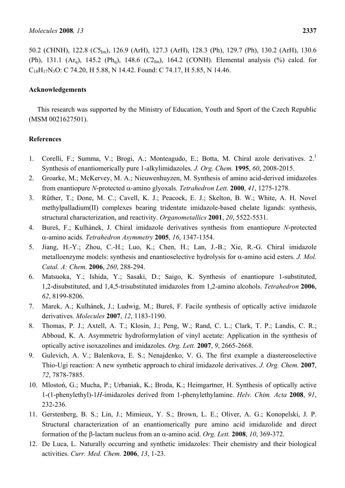50.2 (*C*HNH), 122.8 (*C*5Im), 126.9 (ArH), 127.3 (ArH), 128.3 (Ph), 129.7 (Ph), 130.2 (ArH), 130.6 (Ph), 131.1  $(Ar_q)$ , 145.2  $(Ph_q)$ , 148.6  $(C2_{Im})$ , 164.2  $(CONH)$ . Elemental analysis  $(^{9}o)$  calcd. for  $C_{18}H_{17}N_3O$ : C 74.20, H 5.88, N 14.42. Found: C 74.17, H 5.85, N 14.46.

## **Acknowledgements**

This research was supported by the Ministry of Education, Youth and Sport of the Czech Republic (MSM 0021627501).

## **References**

- 1. Corelli, F.; Summa, V.; Brogi, A.; Monteagudo, E.; Botta, M. Chiral azole derivatives. 2.1 Synthesis of enantiomerically pure 1-alkylimidazoles. *J. Org. Chem.* **1995**, *60*, 2008-2015.
- 2. Groarke, M.; McKervey, M. A.; Nieuwenhuyzen, M. Synthesis of amino acid-derived imidazoles from enantiopure *N*-protected α-amino glyoxals. *Tetrahedron Lett.* **2000**, *41*, 1275-1278.
- 3. Rűther, T.; Done, M. C.; Cavell, K. J.; Peacock, E. J.; Skelton, B. W.; White, A. H. Novel methylpalladium(II) complexes bearing tridentate imidazole-based chelate ligands: synthesis, structural characterization, and reactivity. *Organometallics* **2001**, *20*, 5522-5531.
- 4. Bureš, F.; Kulhánek, J. Chiral imidazole derivatives synthesis from enantiopure *N*-protected α-amino acids. *Tetrahedron Asymmetry* **2005**, *16*, 1347-1354.
- 5. Jiang, H.-Y.; Zhou, C.-H.; Luo, K.; Chen, H.; Lan, J.-B.; Xie, R.-G. Chiral imidazole metalloenzyme models: synthesis and enantioselective hydrolysis for α-amino acid esters. *J. Mol. Catal. A: Chem.* **2006**, *260*, 288-294.
- 6. Matsuoka, Y.; Ishida, Y.; Sasaki, D.; Saigo, K. Synthesis of enantiopure 1-substituted, 1,2-disubstituted, and 1,4,5-trisubstituted imidazoles from 1,2-amino alcohols. *Tetrahedron* **2006**, *62*, 8199-8206.
- 7. Marek, A.; Kulhánek, J.; Ludwig, M.; Bureš, F. Facile synthesis of optically active imidazole derivatives. *Molecules* **2007**, *12*, 1183-1190.
- 8. Thomas, P. J.; Axtell, A. T.; Klosin, J.; Peng, W.; Rand, C. L.; Clark, T. P.; Landis, C. R.; Abboud, K. A. Asymmetric hydroformylation of vinyl acetate: Application in the synthesis of optically active isoxazolines and imidazoles. *Org. Lett.* **2007**, *9*, 2665-2668.
- 9. Gulevich, A. V.; Balenkova, E. S.; Nenajdenko, V. G. The first example a diastereoselective Thio-Ugi reaction: A new synthetic approach to chiral imidazole derivatives. *J. Org. Chem.* **2007**, *72*, 7878-7885.
- 10. Mlostoń, G.; Mucha, P.; Urbaniak, K.; Broda, K.; Heimgartner, H. Synthesis of optically active 1-(1-phenylethyl)-1*H*-imidazoles derived from 1-phenylethylamine. *Helv. Chim. Acta* **2008**, *91*, 232-236.
- 11. Gerstenberg, B. S.; Lin, J.; Mimieux, Y. S.; Brown, L. E.; Oliver, A. G.; Konopelski, J. P. Structural characterization of an enantiomerically pure amino acid imidazolide and direct formation of the β-lactam nucleus from an α-amino acid. *Org. Lett.* **2008**, *10*, 369-372.
- 12. De Luca, L. Naturally occurring and synthetic imidazoles: Their chemistry and their biological activities. *Curr. Med. Chem.* **2006**, *13*, 1-23.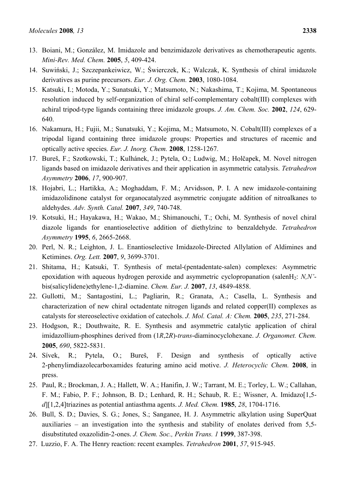- 13. Boiani, M.; González, M. Imidazole and benzimidazole derivatives as chemotherapeutic agents. *Mini-Rev. Med. Chem.* **2005**, *5*, 409-424.
- 14. Suwiński, J.; Szczepankeiwicz, W.; Świerczek, K.; Walczak, K. Synthesis of chiral imidazole derivatives as purine precursors. *Eur. J. Org. Chem.* **2003**, 1080-1084.
- 15. Katsuki, I.; Motoda, Y.; Sunatsuki, Y.; Matsumoto, N.; Nakashima, T.; Kojima, M. Spontaneous resolution induced by self-organization of chiral self-complementary cobalt(III) complexes with achiral tripod-type ligands containing three imidazole groups. *J. Am. Chem. Soc.* **2002**, *124*, 629- 640.
- 16. Nakamura, H.; Fujii, M.; Sunatsuki, Y.; Kojima, M.; Matsumoto, N. Cobalt(III) complexes of a tripodal ligand containing three imidazole groups: Properties and structures of racemic and optically active species. *Eur. J. Inorg. Chem.* **2008**, 1258-1267.
- 17. Bureš, F.; Szotkowski, T.; Kulhánek, J.; Pytela, O.; Ludwig, M.; Holčapek, M. Novel nitrogen ligands based on imidazole derivatives and their application in asymmetric catalysis. *Tetrahedron Asymmetry* **2006**, *17*, 900-907.
- 18. Hojabri, L.; Hartikka, A.; Moghaddam, F. M.; Arvidsson, P. I. A new imidazole-containing imidazolidinone catalyst for organocatalyzed asymmetric conjugate addition of nitroalkanes to aldehydes. *Adv. Synth. Catal.* **2007**, *349*, 740-748.
- 19. Kotsuki, H.; Hayakawa, H.; Wakao, M.; Shimanouchi, T.; Ochi, M. Synthesis of novel chiral diazole ligands for enantioselective addition of diethylzinc to benzaldehyde. *Tetrahedron Asymmetry* **1995**, *6*, 2665-2668.
- 20. Perl, N. R.; Leighton, J. L. Enantioselective Imidazole-Directed Allylation of Aldimines and Ketimines. *Org. Lett.* **2007**, *9*, 3699-3701.
- 21. Shitama, H.; Katsuki, T. Synthesis of metal-(pentadentate-salen) complexes: Asymmetric epoxidation with aqueous hydrogen peroxide and asymmetric cyclopropanation (salenH2: *N,N'* bis(salicylidene)ethylene-1,2-diamine. *Chem. Eur. J.* **2007**, *13*, 4849-4858.
- 22. Gullotti, M.; Santagostini, L.; Pagliarin, R.; Granata, A.; Casella, L. Synthesis and characterization of new chiral octadentate nitrogen ligands and related copper(II) complexes as catalysts for stereoselective oxidation of catechols. *J. Mol. Catal. A: Chem.* **2005**, *235*, 271-284.
- 23. Hodgson, R.; Douthwaite, R. E. Synthesis and asymmetric catalytic application of chiral imidazollium-phosphines derived from (1*R*,2*R*)-*trans*-diaminocyclohexane. *J. Organomet. Chem.*  **2005**, *690*, 5822-5831.
- 24. Sívek, R.; Pytela, O.; Bureš, F. Design and synthesis of optically active 2-phenylimdiazolecarboxamides featuring amino acid motive. *J. Heterocyclic Chem.* **2008**, in press.
- 25. Paul, R.; Brockman, J. A.; Hallett, W. A.; Hanifin, J. W.; Tarrant, M. E.; Torley, L. W.; Callahan, F. M.; Fabio, P. F.; Johnson, B. D.; Lenhard, R. H.; Schaub, R. E.; Wissner, A. Imidazo[1,5 *d*][1,2,4]triazines as potential antiasthma agents. *J. Med. Chem.* **1985**, *28*, 1704-1716.
- 26. Bull, S. D.; Davies, S. G.; Jones, S.; Sanganee, H. J. Asymmetric alkylation using SuperQuat auxiliaries – an investigation into the synthesis and stability of enolates derived from 5,5 disubstituted oxazolidin-2-ones. *J. Chem. Soc., Perkin Trans. 1* **1999**, 387-398.
- 27. Luzzio, F. A. The Henry reaction: recent examples. *Tetrahedron* **2001**, *57*, 915-945.